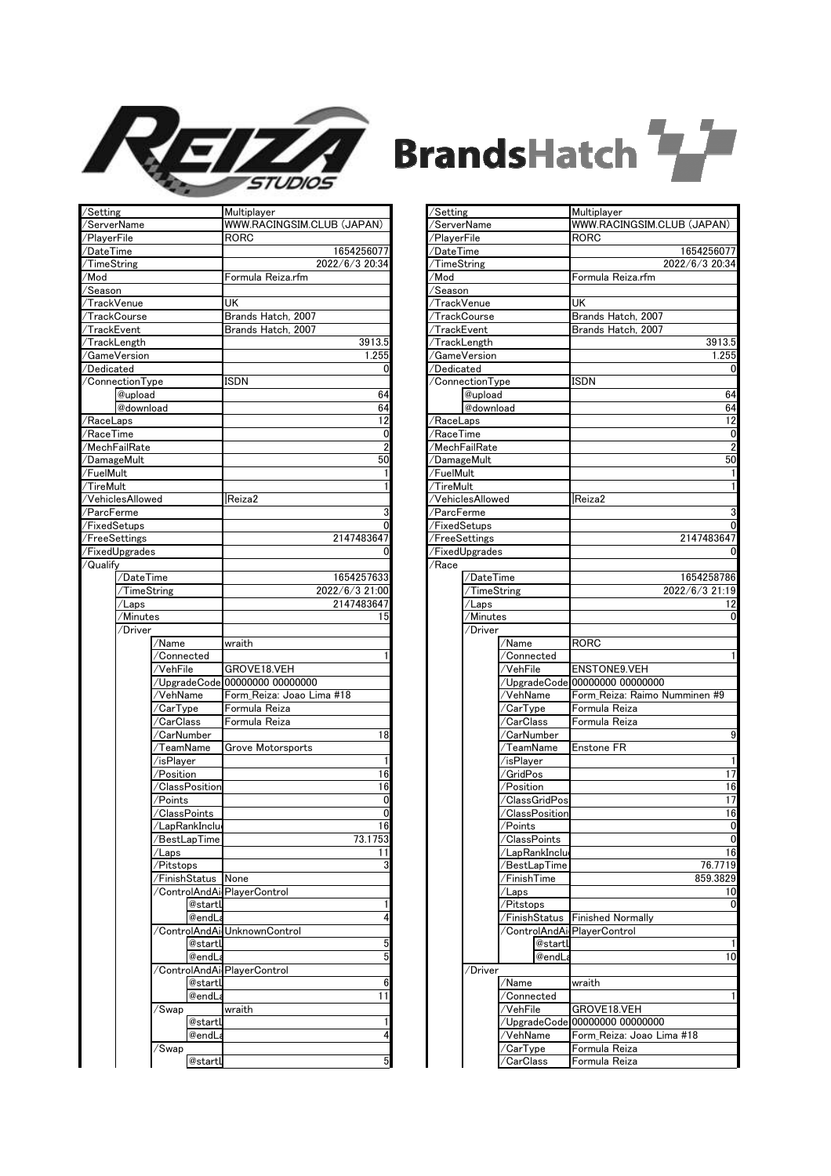

## **BrandsHatch**

| /Setting            |                  |                                              | Multiplayer                    |
|---------------------|------------------|----------------------------------------------|--------------------------------|
| /ServerName         |                  |                                              | WWW.RACINGSIM.CLUB (JAPAN)     |
| /PlayerFile         |                  |                                              | RORC                           |
| /DateTime           |                  |                                              | 1654256077                     |
| /TimeString         |                  |                                              | 2022/6/3 20:34                 |
| /Mod                |                  |                                              | Formula Reiza.rfm              |
| /Season             |                  |                                              |                                |
|                     |                  |                                              | UK                             |
| /TrackVenue         |                  |                                              |                                |
| /TrackCourse        |                  |                                              | Brands Hatch, 2007             |
| /TrackEvent         |                  |                                              | Brands Hatch, 2007             |
| /TrackLength        |                  |                                              | 3913.5                         |
| /GameVersion        |                  |                                              | 1.255                          |
| $\sqrt{D}$ edicated |                  |                                              | 0                              |
|                     | /ConnectionType  |                                              | ISDN                           |
|                     | @upload          |                                              | 64                             |
|                     | @download        |                                              | 64                             |
| /RaceLaps           |                  |                                              |                                |
|                     |                  |                                              | 12                             |
| /RaceTime           |                  |                                              | 0                              |
| /MechFailRate       |                  |                                              | 2                              |
| /DamageMult         |                  |                                              | 50                             |
| /FuelMult           |                  |                                              | 1                              |
| /TireMult           |                  |                                              | 1                              |
|                     | /VehiclesAllowed |                                              | Reiza2                         |
|                     |                  |                                              |                                |
| /ParcFerme          |                  |                                              | 3                              |
| /FixedSetups        |                  |                                              | 0                              |
| /FreeSettings       |                  |                                              | 2147483647                     |
|                     | /FixedUpgrades   |                                              | $\overline{0}$                 |
| /Qualify            |                  |                                              |                                |
|                     | /DateTime        |                                              | 1654257633                     |
|                     | /TimeString      |                                              | 2022/6/3 21:00                 |
|                     |                  |                                              |                                |
|                     | /Laps            |                                              | 2147483647                     |
|                     | /Minutes         |                                              | 15                             |
|                     | /Driver          |                                              |                                |
|                     |                  | /Name                                        | wraith                         |
|                     |                  | /Connected                                   | 1                              |
|                     |                  | ⁄VehFile                                     | GROVE18.VEH                    |
|                     |                  |                                              | /UpgradeCode 00000000 00000000 |
|                     |                  |                                              | Form_Reiza: Joao Lima #18      |
|                     |                  | ∕VehName                                     |                                |
|                     |                  | /CarType                                     | Formula Reiza                  |
|                     |                  | /CarClass                                    | Formula Reiza                  |
|                     |                  | /CarNumber                                   | 18                             |
|                     |                  | $\overline{\mathcal{F}}$ eam $\mathsf{Name}$ | Grove Motorsports              |
|                     |                  | /isPlayer                                    | 1                              |
|                     |                  | /Position                                    | 16                             |
|                     |                  | /ClassPosition                               | 16                             |
|                     |                  |                                              |                                |
|                     |                  | /Points                                      | 0                              |
|                     |                  | 'ClassPoints                                 | 0                              |
|                     |                  | /LapRankInclu                                | 16                             |
|                     |                  | 'BestLapTime                                 | 73.1753                        |
|                     |                  | ʻLaps                                        | 11                             |
|                     |                  | /Pitstops                                    | 3                              |
|                     |                  | /FinishStatus                                | None                           |
|                     |                  | /ControlAndAirPlayerControl                  |                                |
|                     |                  |                                              |                                |
|                     |                  | @startL                                      | 1                              |
|                     |                  | @endLa                                       | $\overline{4}$                 |
|                     |                  |                                              | /ControlAndAirUnknownControl   |
|                     |                  | @startL                                      | 5                              |
|                     |                  | @endLa                                       | 5                              |
|                     |                  | /ControlAndAirPlayerControl                  |                                |
|                     |                  |                                              |                                |
|                     |                  | @startL                                      | 6                              |
|                     |                  | @endLa                                       | 11                             |
|                     |                  | /Swap                                        | wraith                         |
|                     |                  | @startl                                      | 1                              |
|                     |                  | @endL                                        | 4                              |
|                     |                  | /Swap                                        |                                |
|                     |                  |                                              | 5                              |
|                     |                  | @startl                                      |                                |

| /Setting     |                  |                  | Multiplayer                   |
|--------------|------------------|------------------|-------------------------------|
| /ServerName  |                  |                  | WWW.RACINGSIM.CLUB (JAPAN)    |
| /PlayerFile  |                  |                  | RORC                          |
| /DateTime    |                  |                  | 1654256077                    |
| /TimeString  |                  |                  | 2022/6/3 20:34                |
| /Mod         |                  |                  | Formula Reiza.rfm             |
| /Season      |                  |                  |                               |
| /TrackVenue  |                  |                  | UK                            |
| /TrackCourse |                  |                  | Brands Hatch, 2007            |
| /TrackEvent  |                  |                  | Brands Hatch, 2007            |
|              | /TrackLength     |                  | 3913.5                        |
|              | /GameVersion     |                  | 1.255                         |
| /Dedicated   |                  |                  | 0                             |
|              | /ConnectionType  |                  | <b>ISDN</b>                   |
|              | @upload          |                  | 64                            |
|              | @download        |                  | 64                            |
| ∕RaceLaps    |                  |                  | 12                            |
| /RaceTime    |                  |                  | 0                             |
|              | /MechFailRate    |                  | $\overline{2}$                |
| /DamageMult  |                  |                  | 50                            |
| /FuelMult    |                  |                  | 1                             |
| /TireMult    |                  |                  | 1                             |
|              | /VehiclesAllowed |                  | Reiza2                        |
|              |                  |                  |                               |
| /ParcFerme   |                  |                  | 3                             |
| /FixedSetups |                  |                  | 0                             |
|              | /FreeSettings    |                  | 2147483647                    |
|              | /FixedUpgrades   |                  | 0                             |
| /Race        |                  |                  |                               |
|              | /DateTime        |                  | 1654258786                    |
|              | /TimeString      |                  | 2022/6/3 21:19                |
|              | /Laps            |                  | 12                            |
|              | /Minutes         |                  | 0                             |
|              | /Driver          |                  |                               |
|              |                  | /Name            | RORC                          |
|              |                  | 'Connected       | 1                             |
|              |                  | 'VehFile         | ENSTONE9.VEH                  |
|              |                  | /UpgradeCode     | 00000000 00000000             |
|              |                  | /VehName         | Form_Reiza: Raimo Numminen #9 |
|              |                  | /CarType         | Formula Reiza                 |
|              |                  | /CarClass        | Formula Reiza                 |
|              |                  | /CarNumber       | 9                             |
|              |                  | TeamName         | Enstone FR                    |
|              |                  | /isPlayer        | 1                             |
|              |                  | /GridPos         | 17                            |
|              |                  | /Position        | 16                            |
|              |                  | /ClassGridPos    | 17                            |
|              |                  | /ClassPosition   | 16                            |
|              |                  | /Points          | 0                             |
|              |                  | /ClassPoints     | 0                             |
|              |                  | /LapRankInclu    | 16                            |
|              |                  | 'BestLapTime     | 76.7719                       |
|              |                  | 'FinishTime      | 859.3829                      |
|              |                  | ∕Laps            | 10                            |
|              |                  | /Pitstops        | 0                             |
|              |                  | /FinishStatus    | <b>Finished Normally</b>      |
|              |                  |                  | /ControlAndAi PlayerControl   |
|              |                  | @startl          | 1                             |
|              |                  | @endLa           | 10                            |
|              |                  |                  |                               |
|              | /Driver          |                  |                               |
|              |                  | /Name            | wraith                        |
|              |                  | <b>Connected</b> | 1                             |
|              |                  | ′VehFile         | GROVE18.VEH                   |
|              |                  | 'UpgradeCode     | 00000000 00000000             |
|              |                  | VehName          | Form_Reiza: Joao Lima #18     |
|              |                  | 'CarType         | Formula Reiza                 |
|              |                  | <b>CarClass</b>  | Formula Reiza                 |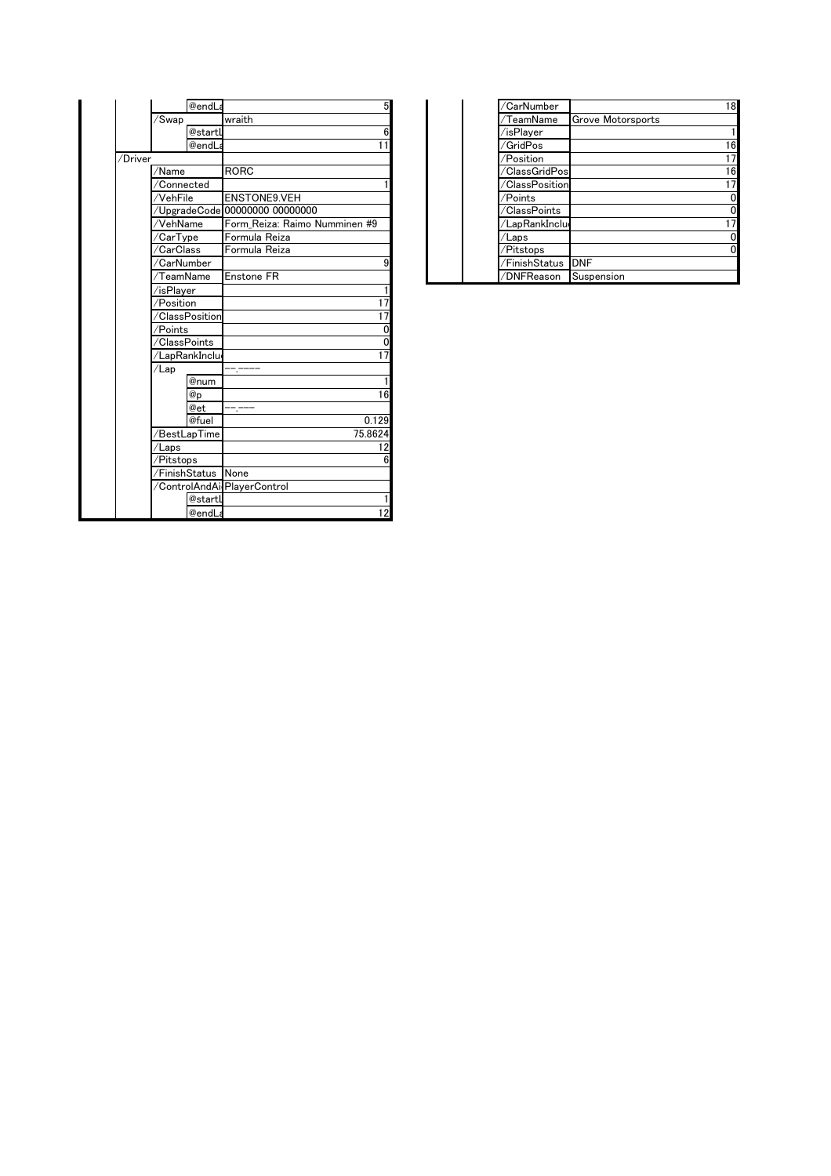|         | @endLa                      | 5                              | /CarNumber     | 18                |
|---------|-----------------------------|--------------------------------|----------------|-------------------|
|         | /Swap                       | wraith                         | /TeamName      | Grove Motorsports |
|         | @startL                     | 6                              | /isPlayer      |                   |
|         | @endLa                      | 11                             | /GridPos       | 16                |
| /Driver |                             |                                | /Position      | 17                |
|         | $\sqrt{\textsf{Name}}$      | <b>RORC</b>                    | /ClassGridPos  | 16                |
|         | /Connected                  |                                | /ClassPosition | 17                |
|         | /VehFile                    | <b>ENSTONE9.VEH</b>            | /Points        | $\mathbf 0$       |
|         |                             | /UpgradeCode 00000000 00000000 | /ClassPoints   | 0                 |
|         | /VehName                    | Form Reiza: Raimo Numminen #9  | /LapRankInclu  | 17                |
|         | /CarType                    | Formula Reiza                  | /Laps          | 0                 |
|         | /CarClass                   | Formula Reiza                  | /Pitstops      | $\Omega$          |
|         | /CarNumber                  | 9                              | /FinishStatus  | <b>DNF</b>        |
|         | /TeamName                   | <b>Enstone FR</b>              | /DNFReason     | Suspension        |
|         | /isPlayer                   |                                |                |                   |
|         | /Position                   | 17                             |                |                   |
|         | <b>ClassPosition</b>        | $\overline{17}$                |                |                   |
|         | /Points                     | 0                              |                |                   |
|         | /ClassPoints                | 0                              |                |                   |
|         | /LapRankInclu               | 17                             |                |                   |
|         | /Lap                        |                                |                |                   |
|         | @num                        |                                |                |                   |
|         | @p                          | 16                             |                |                   |
|         | @et                         |                                |                |                   |
|         | @fuel                       | 0.129                          |                |                   |
|         | /BestLapTime                | 75.8624                        |                |                   |
|         | /Laps                       | 12                             |                |                   |
|         | /Pitstops                   | 6                              |                |                   |
|         | /FinishStatus None          |                                |                |                   |
|         | /ControlAndAirPlayerControl |                                |                |                   |
|         | @startL                     |                                |                |                   |
|         | @endLa                      | 12                             |                |                   |

|            | @endLa  |                                |  | /CarNumber     |                          | 18 |
|------------|---------|--------------------------------|--|----------------|--------------------------|----|
| /Swap      |         | wraith                         |  | TeamName       | <b>Grove Motorsports</b> |    |
|            | @startU |                                |  | /isPlaver      |                          |    |
|            | @endLa  |                                |  | GridPos/       |                          | 16 |
|            |         |                                |  | /Position      |                          | 17 |
| /Name      |         | <b>RORC</b>                    |  | /ClassGridPos  |                          | 16 |
| /Connected |         |                                |  | /ClassPosition |                          | 17 |
| /VehFile   |         | <b>ENSTONE9.VEH</b>            |  | /Points        |                          | 0  |
|            |         | /UpgradeCode 00000000 00000000 |  | /ClassPoints   |                          | 01 |
| /VehName   |         | Form Reiza: Raimo Numminen #9  |  | /LapRankInclu  |                          | 17 |
| /CarType   |         | Formula Reiza                  |  | 'Laps          |                          | ΩI |
| /CarClass  |         | Formula Reiza                  |  | /Pitstops      |                          | 0  |
| /CarNumber |         |                                |  | /FinishStatus  | <b>DNF</b>               |    |
| ∕TeamName  |         | <b>Enstone FR</b>              |  | /DNFReason     | Suspension               |    |